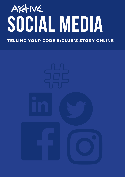# AKTIVE TIEDIA

TELLING YOUR CODE'S/CLUB'S STORY ONLINE

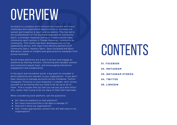# OVERVIEW

Auckland is a complex multi-cultural environment with many challenges and unparalleled opportunities to increase and sustain participation in sport and recreation. This has led to the establishment of The Auckland Approach to Community Sport, a strategic response aiming to create a world-class community sport system in Tāmaki Makaurau, community by community. This toolkit has been developed (and will be updated) by Aktive, with input from delivery partners CLM Community Sport, Harbour Sport, Sport Auckland and Sport Waitakere, based on insights and good practice examples from across Auckland.

Social media platforms are a way to attract and engage an audience by sharing relevant, interesting and valuable content and community-based input, and encouraging interaction, engagement and collaboration.

In the sport and recreation world, a key point to consider is which platforms are relevant to your organisation. If you don't have resource to manage accounts across Facebook, Twitter, Instagram, Pinterest or even Snapchat / LinkedIn, don't stress yourself out by feeling like you need to be set up on all of them. Pick a couple that you feel you can put your best effort into, rather than trying to do too many of them half-heartedly.

When considering each platform, ask the questions:

- Do I have an audience on that platform?
- Do I have resources/time to be able to manage it?
- How will it serve my organisation?
- Can I create appropriate content that will add value to my organisation?

## **CONTENTS**

**01. FACEBOOK 02. INSTAGRAM 03 . INSTAGRAM STORIES 04. TWITTER 05 . LINKEDIN**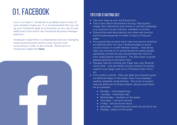Love it or hate it, Facebook is probably where many of your members hang out. It is recommended that you set up your Facebook page as a business so you can access additional tools within the Facebook Business Manager platform.

Facebook's algorithm is complicated and ever changing, meaning businesses need to stay relevant and interesting in order to be noticed. Read more on Facebook's algorithm **here**



#### **TIPS FOR STARTING OUT**

- Use your logo as your profile picture.
- Your cover photo should be a strong, high quality image that represents your brand or current campaign e.g. a picture of your facility, members in action
- Ensure bios and descriptions are clear and concise and include keywords to make it easy to find your page.
- **.** It's a good idea to have more than one person listed as an administrator for your Facebook page to avoid access issues if a staff member leaves. That being said, you should try to avoid having too many people uploading content as you should keep the voice of your organisation consistent. You also want to avoid people posting at the same time.
- Manage risks by clicking the 'Page' tab, and 'General' menu item – you can block certain words from being used on your page, and turn a Profanity filter off or on.
- Post useful content. Plan out what you intend to post on different days of the week. Here is an example weekly schedule using themes. The trick is to post and use different formats (videos, photos and links). As an example:
	- Monday club happenings
	- Tuesday technique tips
	- Wednesday member of the week
	- Thursday success stories
	- Friday did you know facts
	- Saturday something else from the world of xxx
	- Sunday photo of the week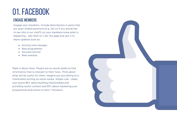#### engage members

Engage your members. Include descriptions in posts that are open-ended questions (e.g. tell us if you would like to see this in our club?) Let your members know what is happening – ask them to 'Like' the page and use it to share updates such as:

- Activity time changes
- New programmes
- Success stories
- New coaches.

Make it about them. People are on social media to find information that is relevant to their lives. Think about what will be useful for them. Imagine you are talking to a friend when writing on social media. Simple rule – make your posts 80% about building relationships and providing useful content and 20% about marketing your programmes and events to fans / followers.

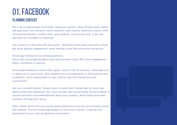#### **PI ANNING CONTENT**

Mix it up to keep people interested. Vary your content. Share photos, post videos, ask questions, run contests, share research, case studies, advertise events, offer motivational quotes, conduct polls, give updates, new activity info, or put the spotlight on a member or employee.

Use a photo or video link with every post. Research shows that posts with visuals get much greater engagement; more sharing, more likes and more interaction.

Encourage interaction by asking questions.

Posts that encourage feedback have been proven to gain 90% more engagement (likes, comments or shares).

Encourage members to share their goals, results, tips for success, challenges and to shout out to each other. Run competitions inviting guests to share photos and comments. Drive people back to your club for real-life interactions and connections.

Get your content shared. People listen to what their friends like far more than advertising from companies. So, if you can get your social media content shared, it creates authentic recommendations about your product, which helps drive new members through your doors.

Add a 'Share' button for your social media platforms on all your promotional emails and website. This will encourage people to share your content, creating viral awareness of your club, programmes and events.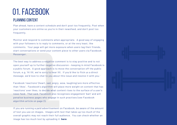#### **PLANNING CONTENT**

Plan ahead, have a content schedule and don't post too frequently. Post when your customers are online so you're in their newsfeed, and don't post too frequently.

Monitor and respond to comments when appropriate. A good way of engaging with your followers is to reply to comments, or at the very least, like comments. Your page will get more exposure when users tag their friends, start conversations or send your content piece to other users via Facebook Messenger.

The best way to address a negative comment is to stay positive and to not open yourself up to further negative discussion – keeping in mind Facebook is a public forum. A good approach is to move the conversation off the public forum, e.g. 'Hi XX, we're sorry to hear XX. If you'd like to flick us a direct message, we'd love to chat to you about this issue and resolve it with you.'

Facebook 'reactions' (heart, sad, angry, wow, laughing) are more effective than 'likes'. Facebook's algorithm will place more weight on content that has 'reactions' over likes, to decide what content rises to the surface of a user's news feed. That said, Facebook also recognises engagement 'bait' and will penalise business pages who engage in such practises (see Facebook algorithm article on page 2).

If you are running a paid advertisement on Facebook, be aware of the amount of text you use on images. Images with text that takes up too much of the overall graphic may not reach their full audience. You can check whether an image has too much text by uploading it **here**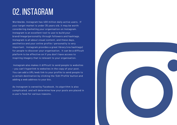## 02. INSTAGRAM

Worldwide, Instagram has 400 million daily active users. If your target market is under 35 years old, it may be worth considering marketing your organisation on Instagram. Instagram is an excellent tool to use to build your brand/image/personality through followers and hashtags. Instagram is all about visual content, and these days, aesthetics and your online profile / personality is very important. Instagram provides a great library (via hashtags) for people to discover your organisation. It can be a difficult platform to be effective on if you don't have access to inspiring imagery that is relevant to your organisation.

Instagram also makes it difficult to send people to websites – you can't hyperlink to websites in the copy of your post. You can add a URL/web link to your profile to send people to a certain destination by clicking the 'Edit Profile' button and adding a web address to your bio.

As Instagram is owned by Facebook, its algorithm is also complicated, and will determine how your posts are placed in a user's feed for various reasons.

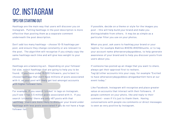## 02. INSTAGRAM

#### **TIPS FOR STARTING OUT**

Hashtags are the main way that users will discover you on Instagram. Putting hashtags in the post description is more effective than posting them as a separate comment underneath the post description.

Don't add too many hashtags – choose 10-15 hashtags per post, and ensure they change constantly or are relevant to the post. The algorithm will recognise if you simply copy the same hashtags each time and will give less weight to your posts.

Hashtags are a balancing act. Depending on your follower list size, select hashtags that are going to help you to be found. If you have under 10,000 followers, you're best to choose hashtags that don't have millions of posts associated with it, as your post will likely get lost amongst accounts with higher follower lists.

For example, if you search 'cricket' in tags on Instagram, you'll see it has 3.5 million posts associated with it. If you search 'cricketnz' there are only 487 posts with that hasthtag. Users are more likely to discover your brand under hashtags with less posts associated if you do not have a huge follower list.

If possible, decide on a theme or style for the images you post – this will help build your brand and make you distinguishable from others. It may be as simple as a particular filter you use on your photos.

When you post, ask users to hashtag your brand or your tagline, for example #aktive #HERA #HERAhustle, or to tag your account name @heraeverydaygoddess, to help generate awareness of your brand and to help you discover posts from users about you.

If someone has posted up an image that you want to share, always get their approval first to reshare. Tag (@) other accounts into your copy, for example "Excited to have @heraeverydaygoddess @teganbartlett here at our event today."

Like Facebook, Instagram will recognise and place greater value on accounts that interact with their followers. If people comment on your photo, like and reply to their comment – even if it's just to thank them. Having conversations with people via comments or direct messages is seen as very positive by Instagram.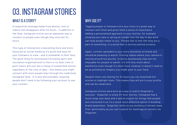## 03. INSTAGRAM stories

#### WHAT IS A STORY?

A sequential message made from photos, text or videos that disappears after 24 hours. In addition to the feed, Instagram stories are an awesome way to connect to people even though they only last 24 hours.

This type of interaction is becoming more and more favoured on social media as it's quick and easy for your followers to view – and is somewhat in their face. The good thing for businesses (including sport and recreation organisations) is there is no 'best time to post' (users will just see a lineup of unwatched stories regardless of the time of day) – this means you might connect with more people than through the traditional Instagram feed. It is also discoverable, meaning people don't need to be following your account to see your content.

#### WHY USE IT?

Tagging people or followers into your story is a great way to interact with them and gives them a sense of importance. Adding a personalised approach to your stories, for example showing your face or giving an insight into the day to day work, can help people relate to you. People like to feel like they are a part of something, in a world that is entirely behind screens.

Again, content uploaded to your story should be on brand and should be pleasing to watch. Posting videos where your camera is moving around too quickly, or blurry boomerang clips are not enjoyable for people to watch. It's still very much about aesthetics even though it's short lived, however it doesn't need to be as polished as imagery you might post to your feed.

Despite them only lasting for 24 hours you can download full stories or highlight them. This means they will pin to your profile and can be rewatched.

Instagram stories were born as a way to match Snapchat's success - Snapchat is solely 24-hour stories. Instagram has a much large user base and a search engine for things that people are interested in so it's a much more effective option in building brand awareness. Snapchat relies on you building a follower base first, particularly as you can't search for hashtags or content via Snapchat.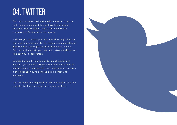## 04. TWITTER

Twitter is a conversational platform geared towards real time business updates and live hashtagging, though in New Zealand it has a fairly low reach compared to Facebook or Instagram.

It allows you to easily post updates that might impact your customers or clients, for example a bank will post updates of any outages to their online services via Twitter; and also lets you interact (retweet) with users who tag your organisation.

Despite being a bit clinical in terms of layout and content, you can still create a fun online presence by adding humor or memes (text on image) to posts, even if the message you're sending out is something mundane.

Twitter could be compared to talk back radio – it's live, contains topical conversations, news, politics.

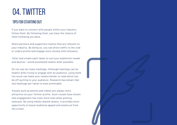## 04. TWITTER

#### **TIPS FOR STARTING OUT**

If you want to connect with people within your industry, follow them. By following them, you have the chance of them following you back.

Share partners and supporters tweets that are relevant to your industry. By doing so, you can drive traffic to the club or code's profile and engage more closely with followers.

Tailor and create each tweet to suit your audience's needs and desires - avoid automated tweets when possible.

Do not use too many hashtags. Although hashtags can be helpful when trying to engage with an audience, using them too much can make your tweets harder to read which can be off-putting to your audience. Research has shown that two hashtags per tweet is most preferable.

Visuals such as photos and videos are always more attractive on your Twitter profile. Such visuals have shown that engagement has risen more than when posting statuses. By using media related tweets, it provides more opportunity to boost audience appeal and stand out from the crowd.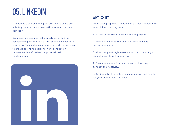## 05.LINKEDIN

LinkedIn is a professional platform where users are able to promote their organisation as an attractive company.

Organisations can post job opportunities and job seekers can post their CV's. LinkedIn allows users to create profiles and make connections with other users to create an online social network connection representative of real-world professional relationships.



#### WHY USE IT?

When used properly, LinkedIn can attract the public to your club or sporting code.

1. Attract potential volunteers and employees.

2. Profile allows you to build trust with new and current members.

3. When people Google search your club or code, your LinkedIn profile will appear first.

4. Check on competitors and research how they conduct their activity.

5. Audience for LinkedIn are seeking news and events for your club or sporting code.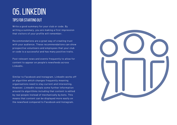### 05.LINKEDIN TIPS FOR STARTING OUT

Write a good summary for your club or code. By writing a summary, you are making a first impression that visitors of your profile will remember.

Recommendations are a great way of creating trust with your audience. These recommendations can show prospective volunteers and employees that your club or code is a successful and has many positive traits.

Post relevant news and events frequently to allow for content to appear on people's newsfeeds across LinkedIn.

Similar to Facebook and Instagram, LinkedIn works off an algorithm which changes frequently meaning organisations need to stay current and interesting. However, LinkedIn reveals some further information around its algorithms including that content is edited by real people instead of mechanically by bots. This means that content can be displayed more easily on the newsfeed compared to Facebook and Instagram.